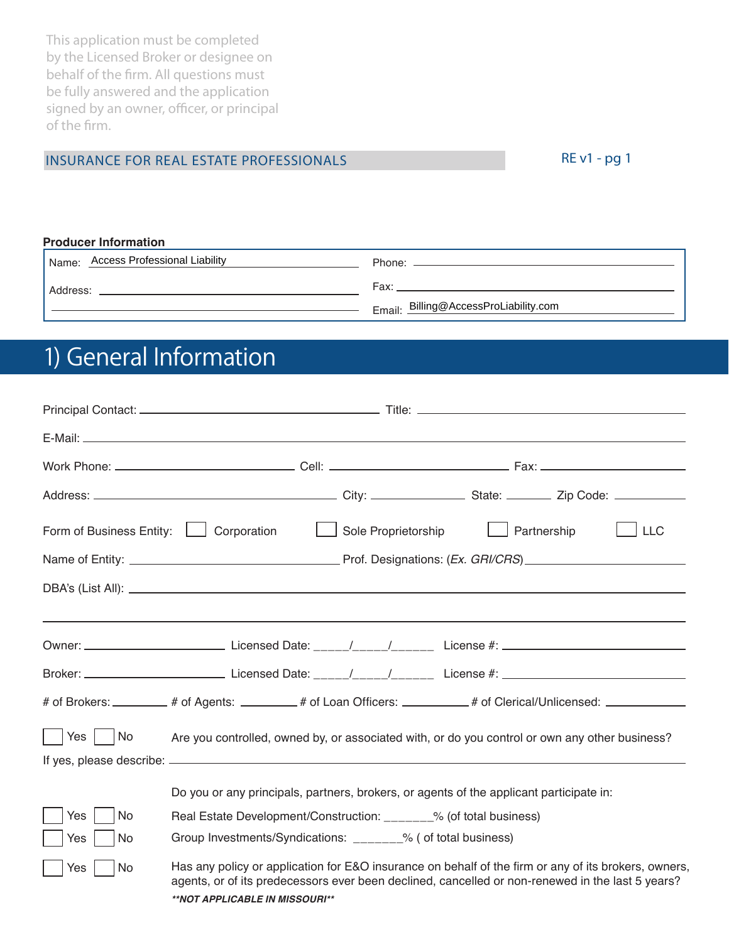This application must be completed by the Licensed Broker or designee on behalf of the firm. All questions must be fully answered and the application signed by an owner, officer, or principal of the firm.

### INSURANCE FOR REAL ESTATE PROFESSIONALS

RE v1 - pg 1

#### **Producer Information**

| <b>Access Professional Liability</b><br>Name: | Phone:                                |
|-----------------------------------------------|---------------------------------------|
| Address:                                      | Fax:                                  |
|                                               | Email: Billing@AccessProLiability.com |

# 1) General Information

|           | Form of Business Entity:   Corporation  <br>Sole Proprietorship   Partnership<br>$\Box$ LLC                                                                                                                                                |
|-----------|--------------------------------------------------------------------------------------------------------------------------------------------------------------------------------------------------------------------------------------------|
|           |                                                                                                                                                                                                                                            |
|           |                                                                                                                                                                                                                                            |
|           |                                                                                                                                                                                                                                            |
|           |                                                                                                                                                                                                                                            |
|           |                                                                                                                                                                                                                                            |
|           | # of Brokers: ________ # of Agents: _______ # of Loan Officers: ________ # of Clerical/Unlicensed: ___________                                                                                                                             |
| Yes   No  | Are you controlled, owned by, or associated with, or do you control or own any other business?                                                                                                                                             |
|           | Do you or any principals, partners, brokers, or agents of the applicant participate in:                                                                                                                                                    |
| Yes<br>No | Real Estate Development/Construction: ______% (of total business)                                                                                                                                                                          |
| No<br>Yes | Group Investments/Syndications: _______% ( of total business)                                                                                                                                                                              |
| No<br>Yes | Has any policy or application for E&O insurance on behalf of the firm or any of its brokers, owners,<br>agents, or of its predecessors ever been declined, cancelled or non-renewed in the last 5 years?<br>**NOT APPLICABLE IN MISSOURI** |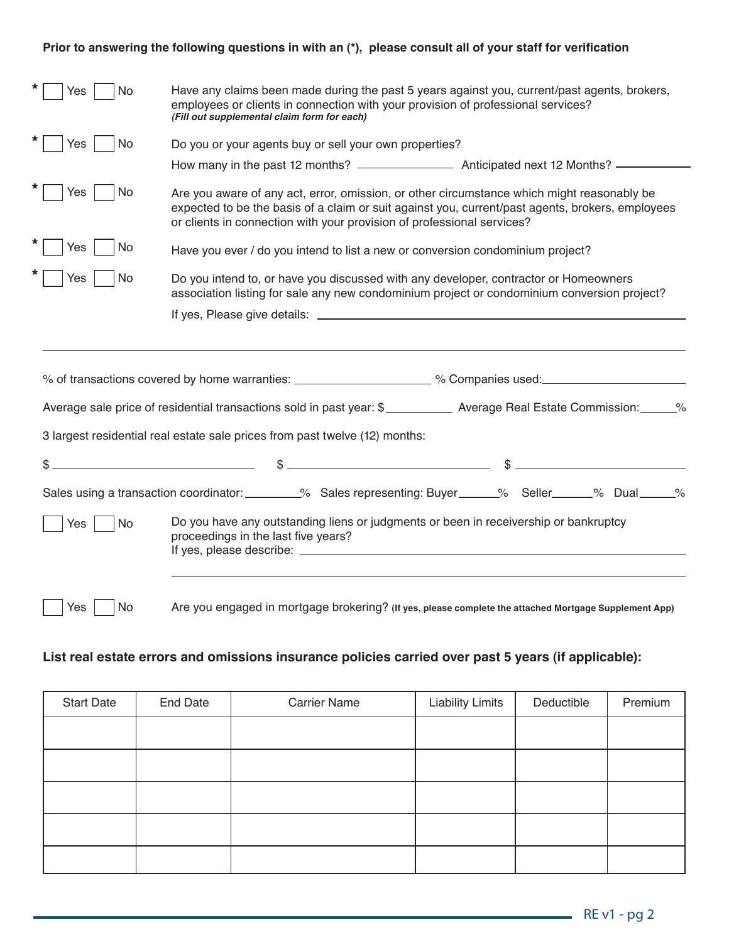#### **Prior to answering the following questions in with an (\*), please consult all of your staff for verification**

| <b>No</b><br>Yes        | Have any claims been made during the past 5 years against you, current/past agents, brokers,<br>employees or clients in connection with your provision of professional services?<br>(Fill out supplemental claim form for each)                                                                                    |
|-------------------------|--------------------------------------------------------------------------------------------------------------------------------------------------------------------------------------------------------------------------------------------------------------------------------------------------------------------|
| Yes<br>No               | Do you or your agents buy or sell your own properties?                                                                                                                                                                                                                                                             |
|                         |                                                                                                                                                                                                                                                                                                                    |
| Yes<br><b>No</b>        | Are you aware of any act, error, omission, or other circumstance which might reasonably be<br>expected to be the basis of a claim or suit against you, current/past agents, brokers, employees<br>or clients in connection with your provision of professional services?                                           |
| Yes<br><b>No</b>        | Have you ever / do you intend to list a new or conversion condominium project?                                                                                                                                                                                                                                     |
| <b>Nes</b><br><b>No</b> | Do you intend to, or have you discussed with any developer, contractor or Homeowners<br>association listing for sale any new condominium project or condominium conversion project?                                                                                                                                |
|                         |                                                                                                                                                                                                                                                                                                                    |
|                         | % of transactions covered by home warranties: _____________________ % Companies used: ___________________<br>Average sale price of residential transactions sold in past year: \$____________ Average Real Estate Commission: ______%                                                                              |
|                         | 3 largest residential real estate sale prices from past twelve (12) months:                                                                                                                                                                                                                                        |
|                         | $\sqrt{2}$ $\sqrt{2}$ $\sqrt{2}$ $\sqrt{2}$ $\sqrt{2}$ $\sqrt{2}$ $\sqrt{2}$ $\sqrt{2}$ $\sqrt{2}$ $\sqrt{2}$ $\sqrt{2}$ $\sqrt{2}$ $\sqrt{2}$ $\sqrt{2}$ $\sqrt{2}$ $\sqrt{2}$ $\sqrt{2}$ $\sqrt{2}$ $\sqrt{2}$ $\sqrt{2}$ $\sqrt{2}$ $\sqrt{2}$ $\sqrt{2}$ $\sqrt{2}$ $\sqrt{2}$ $\sqrt{2}$ $\sqrt{2}$ $\sqrt{2$ |
|                         | Sales using a transaction coordinator: ________% Sales representing: Buyer _____% Seller _____% Dual _____%                                                                                                                                                                                                        |
| No<br>Yes               | Do you have any outstanding liens or judgments or been in receivership or bankruptcy<br>proceedings in the last five years?                                                                                                                                                                                        |
|                         |                                                                                                                                                                                                                                                                                                                    |

### **List real estate errors and omissions insurance policies carried over past 5 years (if applicable):**

Yes |

No

Are you engaged in mortgage brokering? **(If yes, please complete the attached Mortgage Supplement App)**

| <b>Start Date</b> | End Date | <b>Carrier Name</b> | <b>Liability Limits</b> | Deductible | Premium |
|-------------------|----------|---------------------|-------------------------|------------|---------|
|                   |          |                     |                         |            |         |
|                   |          |                     |                         |            |         |
|                   |          |                     |                         |            |         |
|                   |          |                     |                         |            |         |
|                   |          |                     |                         |            |         |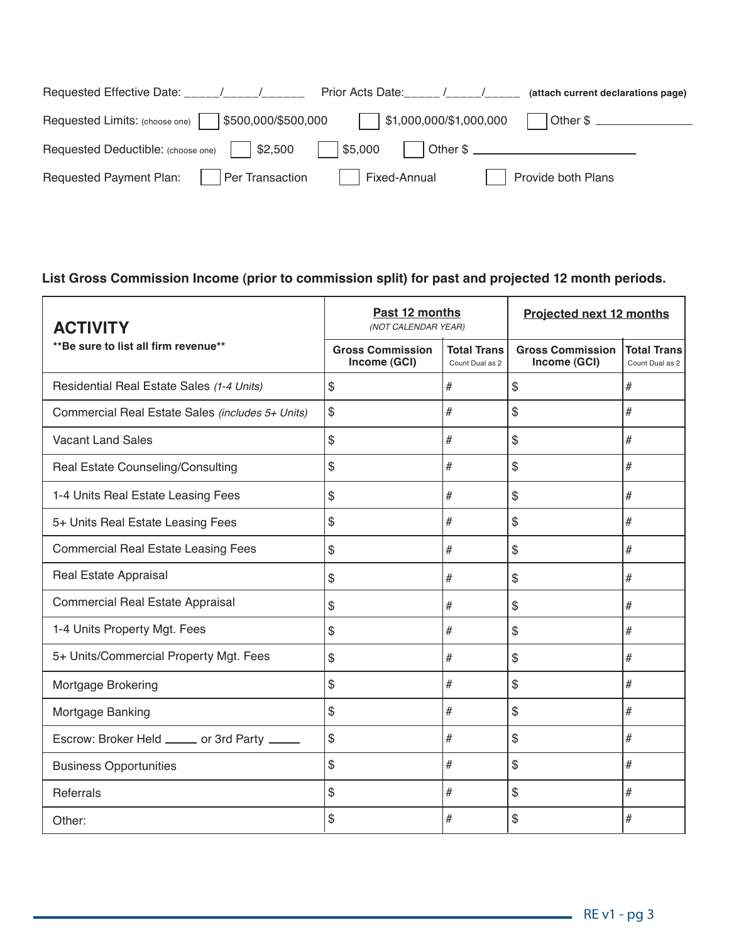|                                                                        | (attach current declarations page) |
|------------------------------------------------------------------------|------------------------------------|
| Prior Acts Date:                                                       | $\sqrt{1}$                         |
| \$500,000/\$500,000                                                    | \$1,000,000/\$1,000,000            |
| Requested Limits: (choose one)                                         | Other \$ ________________          |
| $\frac{1}{2}$ \$2,500<br>Requested Deductible: (choose one)<br>\$5,000 |                                    |
| Per Transaction                                                        | Provide both Plans                 |
| <b>Requested Payment Plan:</b>                                         | Fixed-Annual                       |

### **List Gross Commission Income (prior to commission split) for past and projected 12 month periods.**

| <b>ACTIVITY</b>                                  | Past 12 months<br>(NOT CALENDAR YEAR)   |                                       | <b>Projected next 12 months</b>         |                                       |
|--------------------------------------------------|-----------------------------------------|---------------------------------------|-----------------------------------------|---------------------------------------|
| ** Be sure to list all firm revenue**            | <b>Gross Commission</b><br>Income (GCI) | <b>Total Trans</b><br>Count Dual as 2 | <b>Gross Commission</b><br>Income (GCI) | <b>Total Trans</b><br>Count Dual as 2 |
| Residential Real Estate Sales (1-4 Units)        | \$                                      | #                                     | \$                                      | $\#$                                  |
| Commercial Real Estate Sales (includes 5+ Units) | \$                                      | #                                     | \$                                      | $\#$                                  |
| <b>Vacant Land Sales</b>                         | \$                                      | #                                     | \$                                      | #                                     |
| Real Estate Counseling/Consulting                | \$                                      | #                                     | \$                                      | #                                     |
| 1-4 Units Real Estate Leasing Fees               | \$                                      | #                                     | \$                                      | $\#$                                  |
| 5+ Units Real Estate Leasing Fees                | \$                                      | #                                     | \$                                      | $\#$                                  |
| <b>Commercial Real Estate Leasing Fees</b>       | \$                                      | $\#$                                  | \$                                      | $\#$                                  |
| Real Estate Appraisal                            | \$                                      | $\#$                                  | \$                                      | $\#$                                  |
| <b>Commercial Real Estate Appraisal</b>          | \$                                      | #                                     | \$                                      | $\#$                                  |
| 1-4 Units Property Mgt. Fees                     | \$                                      | #                                     | \$                                      | #                                     |
| 5+ Units/Commercial Property Mgt. Fees           | \$                                      | $\#$                                  | \$                                      | $\#$                                  |
| Mortgage Brokering                               | \$                                      | $\#$                                  | \$                                      | $\#$                                  |
| Mortgage Banking                                 | \$                                      | #                                     | \$                                      | $\#$                                  |
| Escrow: Broker Held _____ or 3rd Party ____      | \$                                      | #                                     | \$                                      | $\#$                                  |
| <b>Business Opportunities</b>                    | \$                                      | #                                     | \$                                      | #                                     |
| Referrals                                        | \$                                      | #                                     | \$                                      | #                                     |
| Other:                                           | \$                                      | #                                     | \$                                      | #                                     |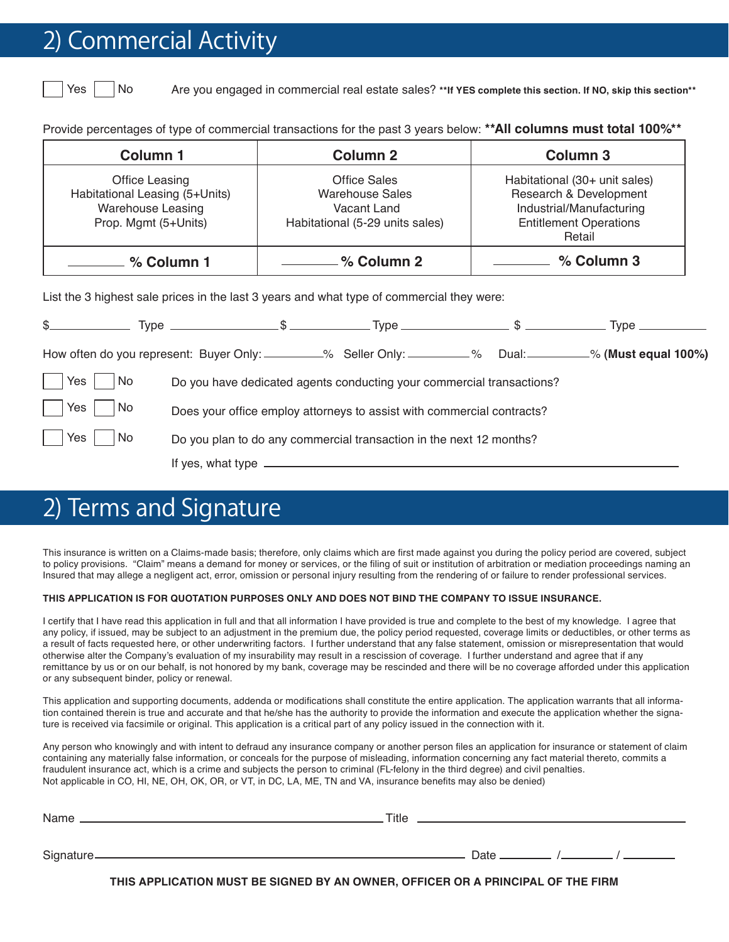## **Commercial Activity**

Yes No

Yes

Are you engaged in commercial real estate sales? **\*\*If YES complete this section. If NO, skip this section\*\***

Provide percentages of type of commercial transactions for the past 3 years below: **\*\*All columns must total 100%\*\*** 

| Column 1                                                                                      | <b>Column 2</b>                                                                                 | <b>Column 3</b>                                                                                                                |
|-----------------------------------------------------------------------------------------------|-------------------------------------------------------------------------------------------------|--------------------------------------------------------------------------------------------------------------------------------|
| Office Leasing<br>Habitational Leasing (5+Units)<br>Warehouse Leasing<br>Prop. Mgmt (5+Units) | <b>Office Sales</b><br><b>Warehouse Sales</b><br>Vacant Land<br>Habitational (5-29 units sales) | Habitational (30+ unit sales)<br>Research & Development<br>Industrial/Manufacturing<br><b>Entitlement Operations</b><br>Retail |
| _______ % Column 1                                                                            | <u>------------</u> % Column 2                                                                  | % Column 3<br><u>and the state of the state</u>                                                                                |
| List the 3 highest sale prices in the last 3 years and what type of commercial they were:     |                                                                                                 |                                                                                                                                |
|                                                                                               |                                                                                                 |                                                                                                                                |
|                                                                                               |                                                                                                 | How often do you represent: Buyer Only: _________% Seller Only: _________% Dual: ________% (Must equal 100%)                   |

 Do you have dedicated agents conducting your commercial transactions? Yes No

Does your office employ attorneys to assist with commercial contracts? Yes No

> Do you plan to do any commercial transaction in the next 12 months? No

> > If yes, what type

# 2) Terms and Signature

This insurance is written on a Claims-made basis; therefore, only claims which are first made against you during the policy period are covered, subject to policy provisions. "Claim" means a demand for money or services, or the filing of suit or institution of arbitration or mediation proceedings naming an Insured that may allege a negligent act, error, omission or personal injury resulting from the rendering of or failure to render professional services.

#### **THIS APPLICATION IS FOR QUOTATION PURPOSES ONLY AND DOES NOT BIND THE COMPANY TO ISSUE INSURANCE.**

I certify that I have read this application in full and that all information I have provided is true and complete to the best of my knowledge. I agree that any policy, if issued, may be subject to an adjustment in the premium due, the policy period requested, coverage limits or deductibles, or other terms as a result of facts requested here, or other underwriting factors. I further understand that any false statement, omission or misrepresentation that would otherwise alter the Company's evaluation of my insurability may result in a rescission of coverage. I further understand and agree that if any remittance by us or on our behalf, is not honored by my bank, coverage may be rescinded and there will be no coverage afforded under this application or any subsequent binder, policy or renewal.

This application and supporting documents, addenda or modifications shall constitute the entire application. The application warrants that all information contained therein is true and accurate and that he/she has the authority to provide the information and execute the application whether the signature is received via facsimile or original. This application is a critical part of any policy issued in the connection with it.

Any person who knowingly and with intent to defraud any insurance company or another person files an application for insurance or statement of claim containing any materially false information, or conceals for the purpose of misleading, information concerning any fact material thereto, commits a fraudulent insurance act, which is a crime and subjects the person to criminal (FL-felony in the third degree) and civil penalties. Not applicable in CO, HI, NE, OH, OK, OR, or VT, in DC, LA, ME, TN and VA, insurance benefits may also be denied)

| Name                   | Title |      |  |
|------------------------|-------|------|--|
|                        |       |      |  |
| Signature <sub>-</sub> |       | Date |  |

**THIS APPLICATION MUST BE SIGNED BY AN OWNER, OFFICER OR A PRINCIPAL OF THE FIRM**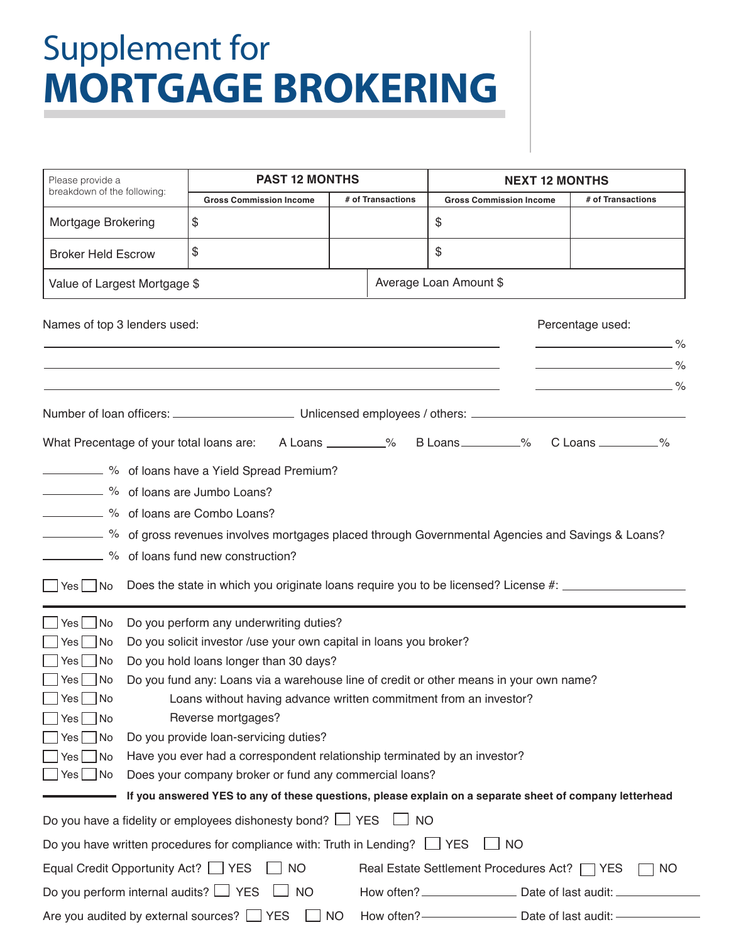# Supplement for **MORTGAGE BROKERING**

| Please provide a                           | <b>PAST 12 MONTHS</b>                                                                                   |                   |                                                                                  | <b>NEXT 12 MONTHS</b>                                                                                                         |  |
|--------------------------------------------|---------------------------------------------------------------------------------------------------------|-------------------|----------------------------------------------------------------------------------|-------------------------------------------------------------------------------------------------------------------------------|--|
| breakdown of the following:                | <b>Gross Commission Income</b>                                                                          | # of Transactions | <b>Gross Commission Income</b>                                                   | # of Transactions                                                                                                             |  |
| Mortgage Brokering                         | \$                                                                                                      |                   | \$                                                                               |                                                                                                                               |  |
| <b>Broker Held Escrow</b>                  | \$                                                                                                      |                   | \$                                                                               |                                                                                                                               |  |
| Value of Largest Mortgage \$               |                                                                                                         |                   | Average Loan Amount \$                                                           |                                                                                                                               |  |
| Names of top 3 lenders used:               |                                                                                                         |                   |                                                                                  | Percentage used:                                                                                                              |  |
|                                            |                                                                                                         |                   |                                                                                  |                                                                                                                               |  |
|                                            |                                                                                                         |                   |                                                                                  | <u> 1989 - Johann Barn, mars ann an t-Aonaich an t-Aonaich an t-Aonaich an t-Aonaich an t-Aonaich ann an t-Aonaich</u><br>- % |  |
|                                            |                                                                                                         |                   |                                                                                  |                                                                                                                               |  |
|                                            |                                                                                                         |                   |                                                                                  |                                                                                                                               |  |
|                                            | What Precentage of your total loans are: A Loans ________% B Loans _________%                           |                   |                                                                                  | C Loans _________%                                                                                                            |  |
|                                            | - % of loans have a Yield Spread Premium?                                                               |                   |                                                                                  |                                                                                                                               |  |
|                                            | 26 of loans are Jumbo Loans?                                                                            |                   |                                                                                  |                                                                                                                               |  |
|                                            | - % of loans are Combo Loans?                                                                           |                   |                                                                                  |                                                                                                                               |  |
|                                            | 6 of gross revenues involves mortgages placed through Governmental Agencies and Savings & Loans?        |                   |                                                                                  |                                                                                                                               |  |
|                                            | <sup>%</sup> of loans fund new construction?                                                            |                   |                                                                                  |                                                                                                                               |  |
| Yes   No                                   | Does the state in which you originate loans require you to be licensed? License #: ________________     |                   |                                                                                  |                                                                                                                               |  |
| $Yes$ No                                   | Do you perform any underwriting duties?                                                                 |                   |                                                                                  |                                                                                                                               |  |
| No<br>Yes                                  | Do you solicit investor /use your own capital in loans you broker?                                      |                   |                                                                                  |                                                                                                                               |  |
| No<br>Yes                                  | Do you hold loans longer than 30 days?                                                                  |                   |                                                                                  |                                                                                                                               |  |
| Yes   No                                   | Do you fund any: Loans via a warehouse line of credit or other means in your own name?                  |                   |                                                                                  |                                                                                                                               |  |
| $\Box$ Yes $\Box$ No                       | Loans without having advance written commitment from an investor?                                       |                   |                                                                                  |                                                                                                                               |  |
| Yes   No                                   | Reverse mortgages?                                                                                      |                   |                                                                                  |                                                                                                                               |  |
| Yes   No                                   | Do you provide loan-servicing duties?                                                                   |                   |                                                                                  |                                                                                                                               |  |
| Yes   No                                   | Have you ever had a correspondent relationship terminated by an investor?                               |                   |                                                                                  |                                                                                                                               |  |
| No<br>Yes [__                              | Does your company broker or fund any commercial loans?                                                  |                   |                                                                                  |                                                                                                                               |  |
|                                            | If you answered YES to any of these questions, please explain on a separate sheet of company letterhead |                   |                                                                                  |                                                                                                                               |  |
|                                            | Do you have a fidelity or employees dishonesty bond? $\Box$ YES                                         | <b>NO</b>         |                                                                                  |                                                                                                                               |  |
|                                            | Do you have written procedures for compliance with: Truth in Lending? $\Box$ YES                        |                   | $\blacksquare$ NO                                                                |                                                                                                                               |  |
| Equal Credit Opportunity Act? VES          | $\overline{\phantom{0}}$ NO                                                                             |                   | Real Estate Settlement Procedures Act?   YES                                     | NO.                                                                                                                           |  |
| Do you perform internal audits? $\Box$ YES | <b>NO</b>                                                                                               |                   | How often? ______________________ Date of last audit: __________________________ |                                                                                                                               |  |
|                                            | Are you audited by external sources? THES                                                               | <b>NO</b>         | How often? <u>_____________________</u> Date of last audit: ____________         |                                                                                                                               |  |